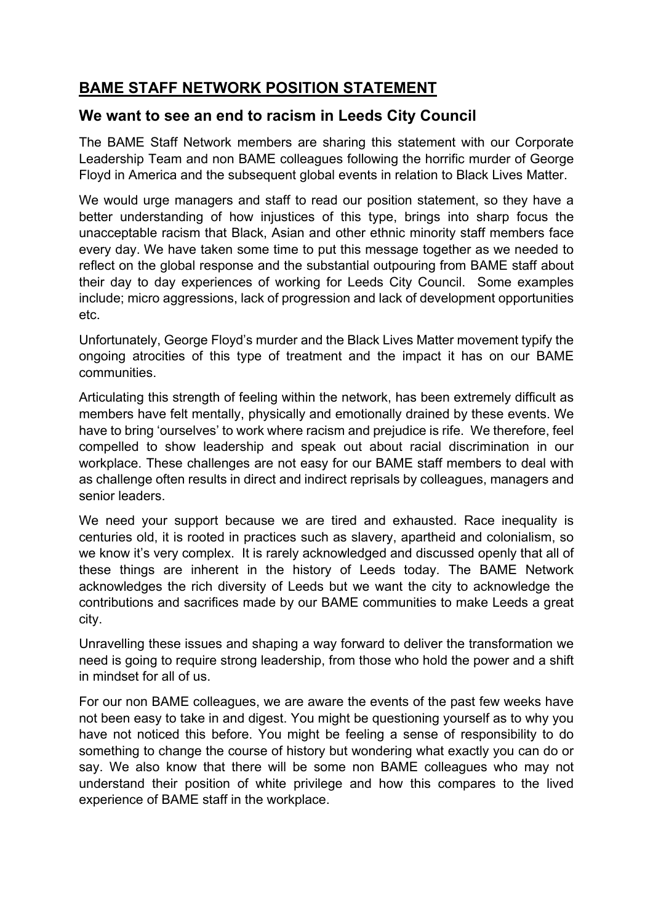# **BAME STAFF NETWORK POSITION STATEMENT**

## **We want to see an end to racism in Leeds City Council**

The BAME Staff Network members are sharing this statement with our Corporate Leadership Team and non BAME colleagues following the horrific murder of George Floyd in America and the subsequent global events in relation to Black Lives Matter.

We would urge managers and staff to read our position statement, so they have a better understanding of how injustices of this type, brings into sharp focus the unacceptable racism that Black, Asian and other ethnic minority staff members face every day. We have taken some time to put this message together as we needed to reflect on the global response and the substantial outpouring from BAME staff about their day to day experiences of working for Leeds City Council. Some examples include; micro aggressions, lack of progression and lack of development opportunities etc.

Unfortunately, George Floyd's murder and the Black Lives Matter movement typify the ongoing atrocities of this type of treatment and the impact it has on our BAME communities.

Articulating this strength of feeling within the network, has been extremely difficult as members have felt mentally, physically and emotionally drained by these events. We have to bring 'ourselves' to work where racism and prejudice is rife. We therefore, feel compelled to show leadership and speak out about racial discrimination in our workplace. These challenges are not easy for our BAME staff members to deal with as challenge often results in direct and indirect reprisals by colleagues, managers and senior leaders.

We need your support because we are tired and exhausted. Race inequality is centuries old, it is rooted in practices such as slavery, apartheid and colonialism, so we know it's very complex. It is rarely acknowledged and discussed openly that all of these things are inherent in the history of Leeds today. The BAME Network acknowledges the rich diversity of Leeds but we want the city to acknowledge the contributions and sacrifices made by our BAME communities to make Leeds a great city.

Unravelling these issues and shaping a way forward to deliver the transformation we need is going to require strong leadership, from those who hold the power and a shift in mindset for all of us.

For our non BAME colleagues, we are aware the events of the past few weeks have not been easy to take in and digest. You might be questioning yourself as to why you have not noticed this before. You might be feeling a sense of responsibility to do something to change the course of history but wondering what exactly you can do or say. We also know that there will be some non BAME colleagues who may not understand their position of white privilege and how this compares to the lived experience of BAME staff in the workplace.